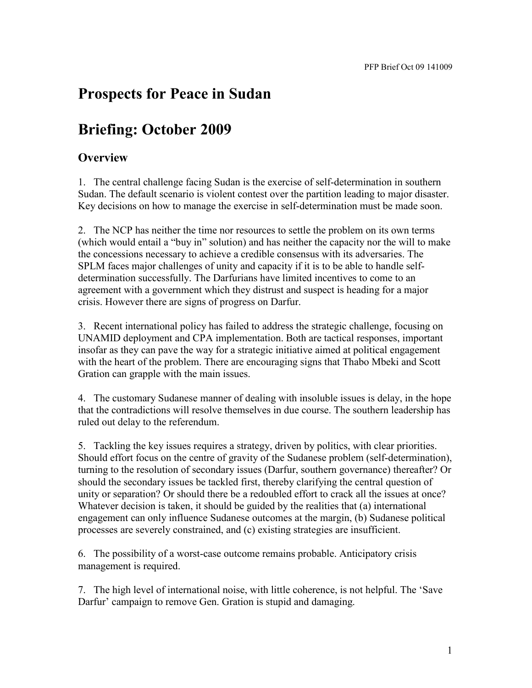# **Prospects for Peace in Sudan**

# **Briefing: October 2009**

#### **Overview**

1. The central challenge facing Sudan is the exercise of self-determination in southern Sudan. The default scenario is violent contest over the partition leading to major disaster. Key decisions on how to manage the exercise in self-determination must be made soon.

2. The NCP has neither the time nor resources to settle the problem on its own terms (which would entail a "buy in" solution) and has neither the capacity nor the will to make the concessions necessary to achieve a credible consensus with its adversaries. The SPLM faces major challenges of unity and capacity if it is to be able to handle selfdetermination successfully. The Darfurians have limited incentives to come to an agreement with a government which they distrust and suspect is heading for a major crisis. However there are signs of progress on Darfur.

3. Recent international policy has failed to address the strategic challenge, focusing on UNAMID deployment and CPA implementation. Both are tactical responses, important insofar as they can pave the way for a strategic initiative aimed at political engagement with the heart of the problem. There are encouraging signs that Thabo Mbeki and Scott Gration can grapple with the main issues.

4. The customary Sudanese manner of dealing with insoluble issues is delay, in the hope that the contradictions will resolve themselves in due course. The southern leadership has ruled out delay to the referendum.

5. Tackling the key issues requires a strategy, driven by politics, with clear priorities. Should effort focus on the centre of gravity of the Sudanese problem (self-determination), turning to the resolution of secondary issues (Darfur, southern governance) thereafter? Or should the secondary issues be tackled first, thereby clarifying the central question of unity or separation? Or should there be a redoubled effort to crack all the issues at once? Whatever decision is taken, it should be guided by the realities that (a) international engagement can only influence Sudanese outcomes at the margin, (b) Sudanese political processes are severely constrained, and (c) existing strategies are insufficient.

6. The possibility of a worst-case outcome remains probable. Anticipatory crisis management is required.

7. The high level of international noise, with little coherence, is not helpful. The 'Save Darfur' campaign to remove Gen. Gration is stupid and damaging.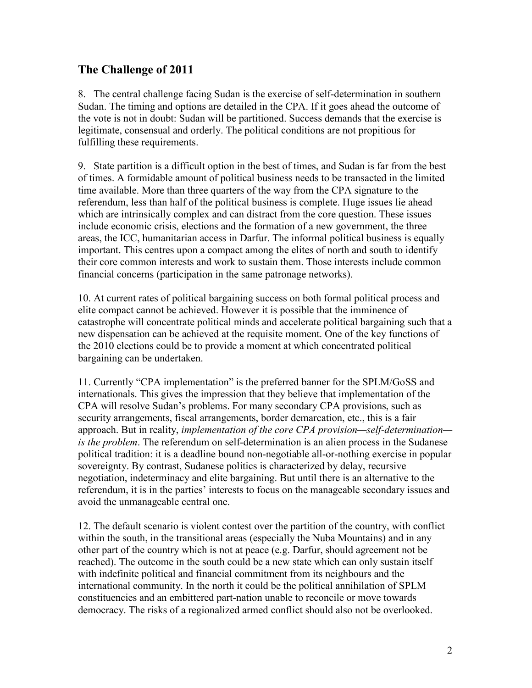### **The Challenge of 2011**

8. The central challenge facing Sudan is the exercise of self-determination in southern Sudan. The timing and options are detailed in the CPA. If it goes ahead the outcome of the vote is not in doubt: Sudan will be partitioned. Success demands that the exercise is legitimate, consensual and orderly. The political conditions are not propitious for fulfilling these requirements.

9. State partition is a difficult option in the best of times, and Sudan is far from the best of times. A formidable amount of political business needs to be transacted in the limited time available. More than three quarters of the way from the CPA signature to the referendum, less than half of the political business is complete. Huge issues lie ahead which are intrinsically complex and can distract from the core question. These issues include economic crisis, elections and the formation of a new government, the three areas, the ICC, humanitarian access in Darfur. The informal political business is equally important. This centres upon a compact among the elites of north and south to identify their core common interests and work to sustain them. Those interests include common financial concerns (participation in the same patronage networks).

10. At current rates of political bargaining success on both formal political process and elite compact cannot be achieved. However it is possible that the imminence of catastrophe will concentrate political minds and accelerate political bargaining such that a new dispensation can be achieved at the requisite moment. One of the key functions of the 2010 elections could be to provide a moment at which concentrated political bargaining can be undertaken.

11. Currently "CPA implementation" is the preferred banner for the SPLM/GoSS and internationals. This gives the impression that they believe that implementation of the CPA will resolve Sudan's problems. For many secondary CPA provisions, such as security arrangements, fiscal arrangements, border demarcation, etc., this is a fair approach. But in reality, *implementation of the core CPA provision—self-determination is the problem*. The referendum on self-determination is an alien process in the Sudanese political tradition: it is a deadline bound non-negotiable all-or-nothing exercise in popular sovereignty. By contrast, Sudanese politics is characterized by delay, recursive negotiation, indeterminacy and elite bargaining. But until there is an alternative to the referendum, it is in the parties' interests to focus on the manageable secondary issues and avoid the unmanageable central one.

12. The default scenario is violent contest over the partition of the country, with conflict within the south, in the transitional areas (especially the Nuba Mountains) and in any other part of the country which is not at peace (e.g. Darfur, should agreement not be reached). The outcome in the south could be a new state which can only sustain itself with indefinite political and financial commitment from its neighbours and the international community. In the north it could be the political annihilation of SPLM constituencies and an embittered part-nation unable to reconcile or move towards democracy. The risks of a regionalized armed conflict should also not be overlooked.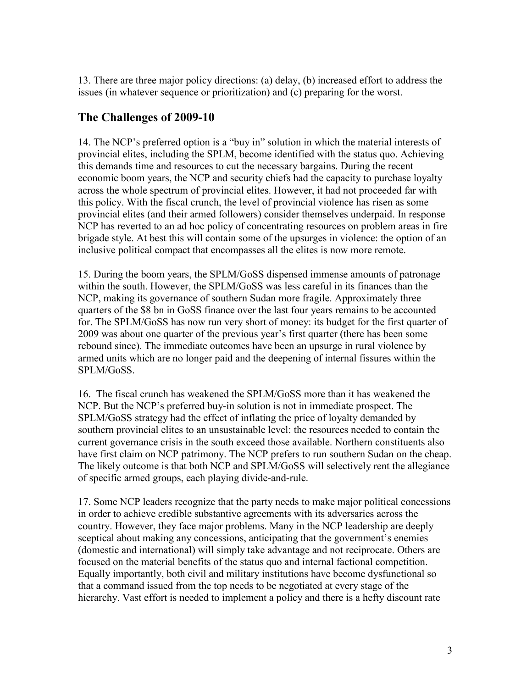13. There are three major policy directions: (a) delay, (b) increased effort to address the issues (in whatever sequence or prioritization) and (c) preparing for the worst.

## **The Challenges of 2009-10**

14. The NCP's preferred option is a "buy in" solution in which the material interests of provincial elites, including the SPLM, become identified with the status quo. Achieving this demands time and resources to cut the necessary bargains. During the recent economic boom years, the NCP and security chiefs had the capacity to purchase loyalty across the whole spectrum of provincial elites. However, it had not proceeded far with this policy. With the fiscal crunch, the level of provincial violence has risen as some provincial elites (and their armed followers) consider themselves underpaid. In response NCP has reverted to an ad hoc policy of concentrating resources on problem areas in fire brigade style. At best this will contain some of the upsurges in violence: the option of an inclusive political compact that encompasses all the elites is now more remote.

15. During the boom years, the SPLM/GoSS dispensed immense amounts of patronage within the south. However, the SPLM/GoSS was less careful in its finances than the NCP, making its governance of southern Sudan more fragile. Approximately three quarters of the \$8 bn in GoSS finance over the last four years remains to be accounted for. The SPLM/GoSS has now run very short of money: its budget for the first quarter of 2009 was about one quarter of the previous year's first quarter (there has been some rebound since). The immediate outcomes have been an upsurge in rural violence by armed units which are no longer paid and the deepening of internal fissures within the SPLM/GoSS.

16. The fiscal crunch has weakened the SPLM/GoSS more than it has weakened the NCP. But the NCP's preferred buy-in solution is not in immediate prospect. The SPLM/GoSS strategy had the effect of inflating the price of loyalty demanded by southern provincial elites to an unsustainable level: the resources needed to contain the current governance crisis in the south exceed those available. Northern constituents also have first claim on NCP patrimony. The NCP prefers to run southern Sudan on the cheap. The likely outcome is that both NCP and SPLM/GoSS will selectively rent the allegiance of specific armed groups, each playing divide-and-rule.

17. Some NCP leaders recognize that the party needs to make major political concessions in order to achieve credible substantive agreements with its adversaries across the country. However, they face major problems. Many in the NCP leadership are deeply sceptical about making any concessions, anticipating that the government's enemies (domestic and international) will simply take advantage and not reciprocate. Others are focused on the material benefits of the status quo and internal factional competition. Equally importantly, both civil and military institutions have become dysfunctional so that a command issued from the top needs to be negotiated at every stage of the hierarchy. Vast effort is needed to implement a policy and there is a hefty discount rate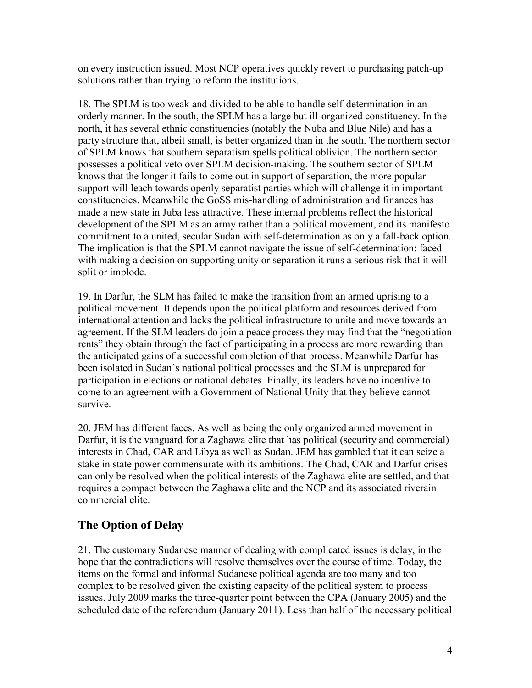on every instruction issued. Most NCP operatives quickly revert to purchasing patch-up solutions rather than trying to reform the institutions.

18. The SPLM is too weak and divided to be able to handle self-determination in an orderly manner. In the south, the SPLM has a large but ill-organized constituency. In the north, it has several ethnic constituencies (notably the Nuba and Blue Nile) and has a party structure that, albeit small, is better organized than in the south. The northern sector of SPLM knows that southern separatism spells political oblivion. The northern sector possesses a political veto over SPLM decision-making. The southern sector of SPLM knows that the longer it fails to come out in support of separation, the more popular support will leach towards openly separatist parties which will challenge it in important constituencies. Meanwhile the GoSS mis-handling of administration and finances has made a new state in Juba less attractive. These internal problems reflect the historical development of the SPLM as an army rather than a political movement, and its manifesto commitment to a united, secular Sudan with self-determination as only a fall-back option. The implication is that the SPLM cannot navigate the issue of self-determination: faced with making a decision on supporting unity or separation it runs a serious risk that it will split or implode.

19. In Darfur, the SLM has failed to make the transition from an armed uprising to a political movement. It depends upon the political platform and resources derived from international attention and lacks the political infrastructure to unite and move towards an agreement. If the SLM leaders do join a peace process they may find that the "negotiation rents" they obtain through the fact of participating in a process are more rewarding than the anticipated gains of a successful completion of that process. Meanwhile Darfur has been isolated in Sudan's national political processes and the SLM is unprepared for participation in elections or national debates. Finally, its leaders have no incentive to come to an agreement with a Government of National Unity that they believe cannot survive.

20. JEM has different faces. As well as being the only organized armed movement in Darfur, it is the vanguard for a Zaghawa elite that has political (security and commercial) interests in Chad, CAR and Libya as well as Sudan. JEM has gambled that it can seize a stake in state power commensurate with its ambitions. The Chad, CAR and Darfur crises can only be resolved when the political interests of the Zaghawa elite are settled, and that requires a compact between the Zaghawa elite and the NCP and its associated riverain commercial elite.

## **The Option of Delay**

21. The customary Sudanese manner of dealing with complicated issues is delay, in the hope that the contradictions will resolve themselves over the course of time. Today, the items on the formal and informal Sudanese political agenda are too many and too complex to be resolved given the existing capacity of the political system to process issues. July 2009 marks the three-quarter point between the CPA (January 2005) and the scheduled date of the referendum (January 2011). Less than half of the necessary political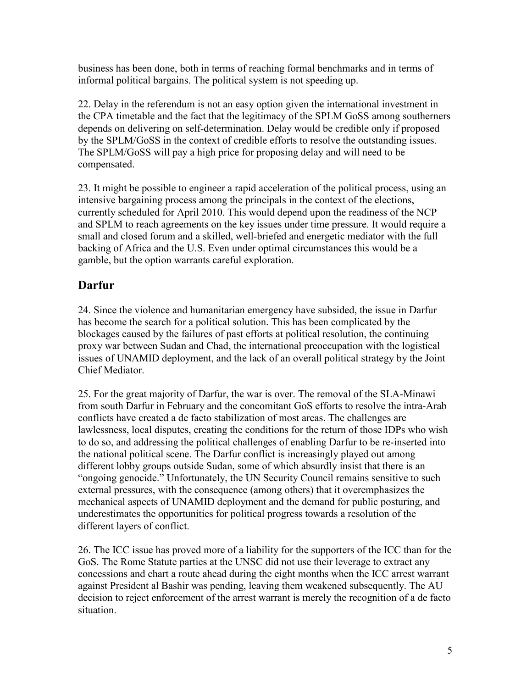business has been done, both in terms of reaching formal benchmarks and in terms of informal political bargains. The political system is not speeding up.

22. Delay in the referendum is not an easy option given the international investment in the CPA timetable and the fact that the legitimacy of the SPLM GoSS among southerners depends on delivering on self-determination. Delay would be credible only if proposed by the SPLM/GoSS in the context of credible efforts to resolve the outstanding issues. The SPLM/GoSS will pay a high price for proposing delay and will need to be compensated.

23. It might be possible to engineer a rapid acceleration of the political process, using an intensive bargaining process among the principals in the context of the elections, currently scheduled for April 2010. This would depend upon the readiness of the NCP and SPLM to reach agreements on the key issues under time pressure. It would require a small and closed forum and a skilled, well-briefed and energetic mediator with the full backing of Africa and the U.S. Even under optimal circumstances this would be a gamble, but the option warrants careful exploration.

## **Darfur**

24. Since the violence and humanitarian emergency have subsided, the issue in Darfur has become the search for a political solution. This has been complicated by the blockages caused by the failures of past efforts at political resolution, the continuing proxy war between Sudan and Chad, the international preoccupation with the logistical issues of UNAMID deployment, and the lack of an overall political strategy by the Joint Chief Mediator.

25. For the great majority of Darfur, the war is over. The removal of the SLA-Minawi from south Darfur in February and the concomitant GoS efforts to resolve the intra-Arab conflicts have created a de facto stabilization of most areas. The challenges are lawlessness, local disputes, creating the conditions for the return of those IDPs who wish to do so, and addressing the political challenges of enabling Darfur to be re-inserted into the national political scene. The Darfur conflict is increasingly played out among different lobby groups outside Sudan, some of which absurdly insist that there is an "ongoing genocide." Unfortunately, the UN Security Council remains sensitive to such external pressures, with the consequence (among others) that it overemphasizes the mechanical aspects of UNAMID deployment and the demand for public posturing, and underestimates the opportunities for political progress towards a resolution of the different layers of conflict.

26. The ICC issue has proved more of a liability for the supporters of the ICC than for the GoS. The Rome Statute parties at the UNSC did not use their leverage to extract any concessions and chart a route ahead during the eight months when the ICC arrest warrant against President al Bashir was pending, leaving them weakened subsequently. The AU decision to reject enforcement of the arrest warrant is merely the recognition of a de facto situation.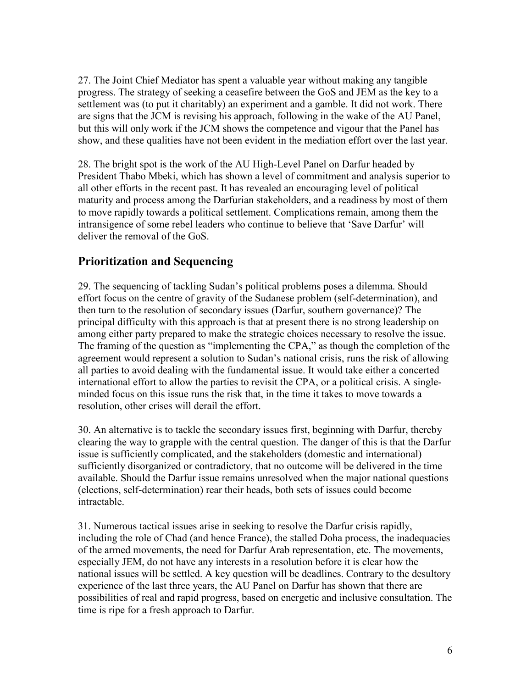27. The Joint Chief Mediator has spent a valuable year without making any tangible progress. The strategy of seeking a ceasefire between the GoS and JEM as the key to a settlement was (to put it charitably) an experiment and a gamble. It did not work. There are signs that the JCM is revising his approach, following in the wake of the AU Panel, but this will only work if the JCM shows the competence and vigour that the Panel has show, and these qualities have not been evident in the mediation effort over the last year.

28. The bright spot is the work of the AU High-Level Panel on Darfur headed by President Thabo Mbeki, which has shown a level of commitment and analysis superior to all other efforts in the recent past. It has revealed an encouraging level of political maturity and process among the Darfurian stakeholders, and a readiness by most of them to move rapidly towards a political settlement. Complications remain, among them the intransigence of some rebel leaders who continue to believe that 'Save Darfur' will deliver the removal of the GoS.

## **Prioritization and Sequencing**

29. The sequencing of tackling Sudan's political problems poses a dilemma. Should effort focus on the centre of gravity of the Sudanese problem (self-determination), and then turn to the resolution of secondary issues (Darfur, southern governance)? The principal difficulty with this approach is that at present there is no strong leadership on among either party prepared to make the strategic choices necessary to resolve the issue. The framing of the question as "implementing the CPA," as though the completion of the agreement would represent a solution to Sudan's national crisis, runs the risk of allowing all parties to avoid dealing with the fundamental issue. It would take either a concerted international effort to allow the parties to revisit the CPA, or a political crisis. A singleminded focus on this issue runs the risk that, in the time it takes to move towards a resolution, other crises will derail the effort.

30. An alternative is to tackle the secondary issues first, beginning with Darfur, thereby clearing the way to grapple with the central question. The danger of this is that the Darfur issue is sufficiently complicated, and the stakeholders (domestic and international) sufficiently disorganized or contradictory, that no outcome will be delivered in the time available. Should the Darfur issue remains unresolved when the major national questions (elections, self-determination) rear their heads, both sets of issues could become intractable.

31. Numerous tactical issues arise in seeking to resolve the Darfur crisis rapidly, including the role of Chad (and hence France), the stalled Doha process, the inadequacies of the armed movements, the need for Darfur Arab representation, etc. The movements, especially JEM, do not have any interests in a resolution before it is clear how the national issues will be settled. A key question will be deadlines. Contrary to the desultory experience of the last three years, the AU Panel on Darfur has shown that there are possibilities of real and rapid progress, based on energetic and inclusive consultation. The time is ripe for a fresh approach to Darfur.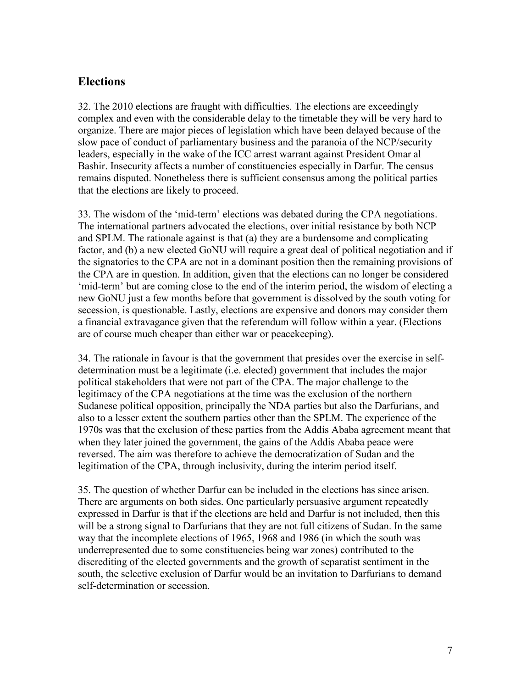#### **Elections**

32. The 2010 elections are fraught with difficulties. The elections are exceedingly complex and even with the considerable delay to the timetable they will be very hard to organize. There are major pieces of legislation which have been delayed because of the slow pace of conduct of parliamentary business and the paranoia of the NCP/security leaders, especially in the wake of the ICC arrest warrant against President Omar al Bashir. Insecurity affects a number of constituencies especially in Darfur. The census remains disputed. Nonetheless there is sufficient consensus among the political parties that the elections are likely to proceed.

33. The wisdom of the 'mid-term' elections was debated during the CPA negotiations. The international partners advocated the elections, over initial resistance by both NCP and SPLM. The rationale against is that (a) they are a burdensome and complicating factor, and (b) a new elected GoNU will require a great deal of political negotiation and if the signatories to the CPA are not in a dominant position then the remaining provisions of the CPA are in question. In addition, given that the elections can no longer be considered 'mid-term' but are coming close to the end of the interim period, the wisdom of electing a new GoNU just a few months before that government is dissolved by the south voting for secession, is questionable. Lastly, elections are expensive and donors may consider them a financial extravagance given that the referendum will follow within a year. (Elections are of course much cheaper than either war or peacekeeping).

34. The rationale in favour is that the government that presides over the exercise in selfdetermination must be a legitimate (i.e. elected) government that includes the major political stakeholders that were not part of the CPA. The major challenge to the legitimacy of the CPA negotiations at the time was the exclusion of the northern Sudanese political opposition, principally the NDA parties but also the Darfurians, and also to a lesser extent the southern parties other than the SPLM. The experience of the 1970s was that the exclusion of these parties from the Addis Ababa agreement meant that when they later joined the government, the gains of the Addis Ababa peace were reversed. The aim was therefore to achieve the democratization of Sudan and the legitimation of the CPA, through inclusivity, during the interim period itself.

35. The question of whether Darfur can be included in the elections has since arisen. There are arguments on both sides. One particularly persuasive argument repeatedly expressed in Darfur is that if the elections are held and Darfur is not included, then this will be a strong signal to Darfurians that they are not full citizens of Sudan. In the same way that the incomplete elections of 1965, 1968 and 1986 (in which the south was underrepresented due to some constituencies being war zones) contributed to the discrediting of the elected governments and the growth of separatist sentiment in the south, the selective exclusion of Darfur would be an invitation to Darfurians to demand self-determination or secession.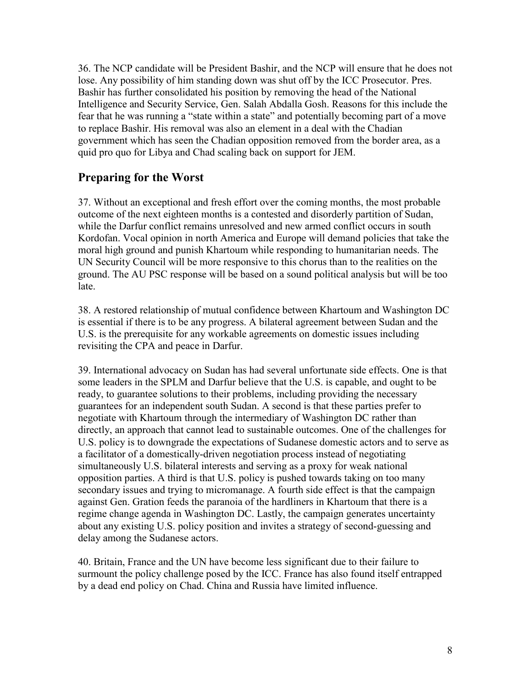36. The NCP candidate will be President Bashir, and the NCP will ensure that he does not lose. Any possibility of him standing down was shut off by the ICC Prosecutor. Pres. Bashir has further consolidated his position by removing the head of the National Intelligence and Security Service, Gen. Salah Abdalla Gosh. Reasons for this include the fear that he was running a "state within a state" and potentially becoming part of a move to replace Bashir. His removal was also an element in a deal with the Chadian government which has seen the Chadian opposition removed from the border area, as a quid pro quo for Libya and Chad scaling back on support for JEM.

### **Preparing for the Worst**

37. Without an exceptional and fresh effort over the coming months, the most probable outcome of the next eighteen months is a contested and disorderly partition of Sudan, while the Darfur conflict remains unresolved and new armed conflict occurs in south Kordofan. Vocal opinion in north America and Europe will demand policies that take the moral high ground and punish Khartoum while responding to humanitarian needs. The UN Security Council will be more responsive to this chorus than to the realities on the ground. The AU PSC response will be based on a sound political analysis but will be too late.

38. A restored relationship of mutual confidence between Khartoum and Washington DC is essential if there is to be any progress. A bilateral agreement between Sudan and the U.S. is the prerequisite for any workable agreements on domestic issues including revisiting the CPA and peace in Darfur.

39. International advocacy on Sudan has had several unfortunate side effects. One is that some leaders in the SPLM and Darfur believe that the U.S. is capable, and ought to be ready, to guarantee solutions to their problems, including providing the necessary guarantees for an independent south Sudan. A second is that these parties prefer to negotiate with Khartoum through the intermediary of Washington DC rather than directly, an approach that cannot lead to sustainable outcomes. One of the challenges for U.S. policy is to downgrade the expectations of Sudanese domestic actors and to serve as a facilitator of a domestically-driven negotiation process instead of negotiating simultaneously U.S. bilateral interests and serving as a proxy for weak national opposition parties. A third is that U.S. policy is pushed towards taking on too many secondary issues and trying to micromanage. A fourth side effect is that the campaign against Gen. Gration feeds the paranoia of the hardliners in Khartoum that there is a regime change agenda in Washington DC. Lastly, the campaign generates uncertainty about any existing U.S. policy position and invites a strategy of second-guessing and delay among the Sudanese actors.

40. Britain, France and the UN have become less significant due to their failure to surmount the policy challenge posed by the ICC. France has also found itself entrapped by a dead end policy on Chad. China and Russia have limited influence.